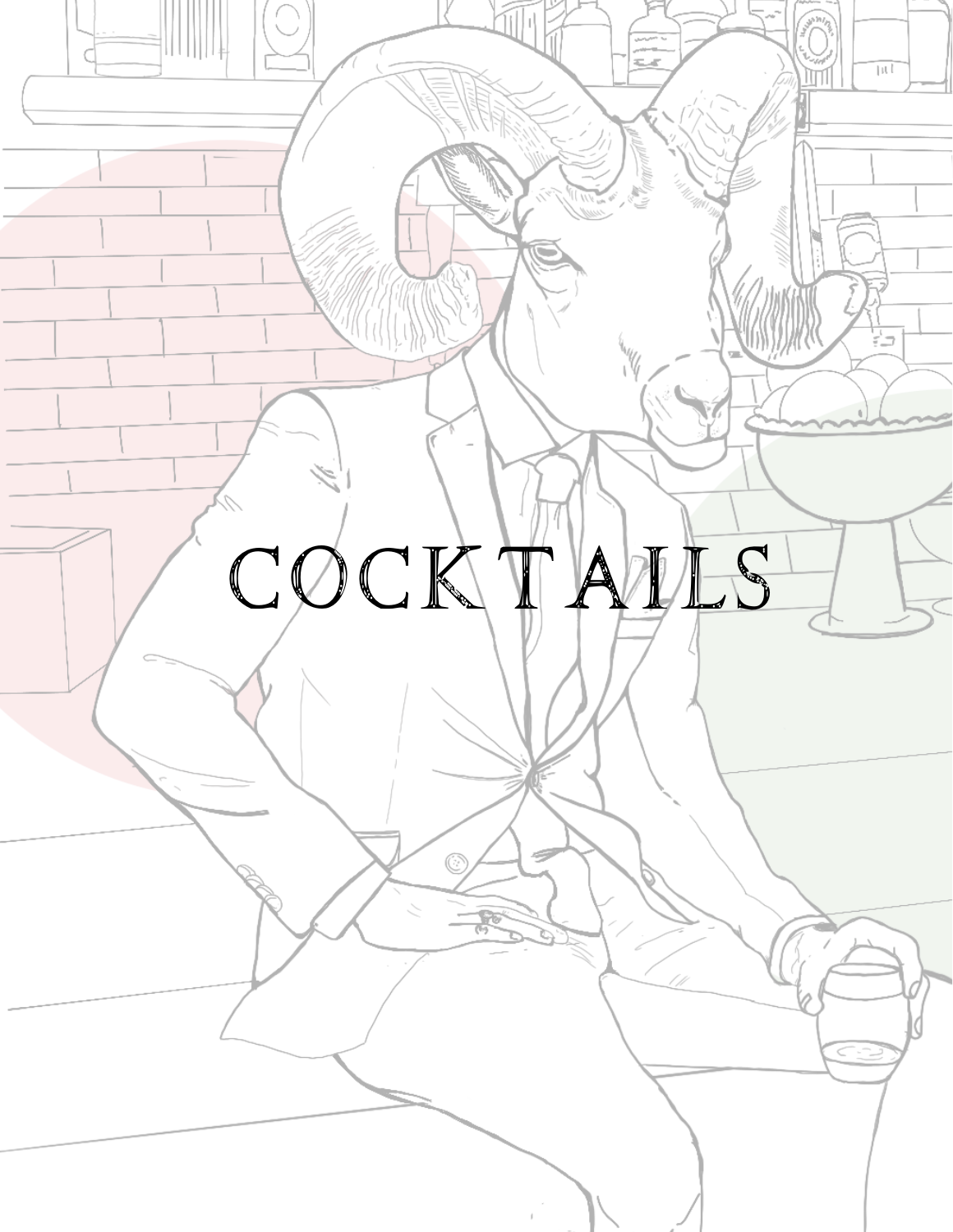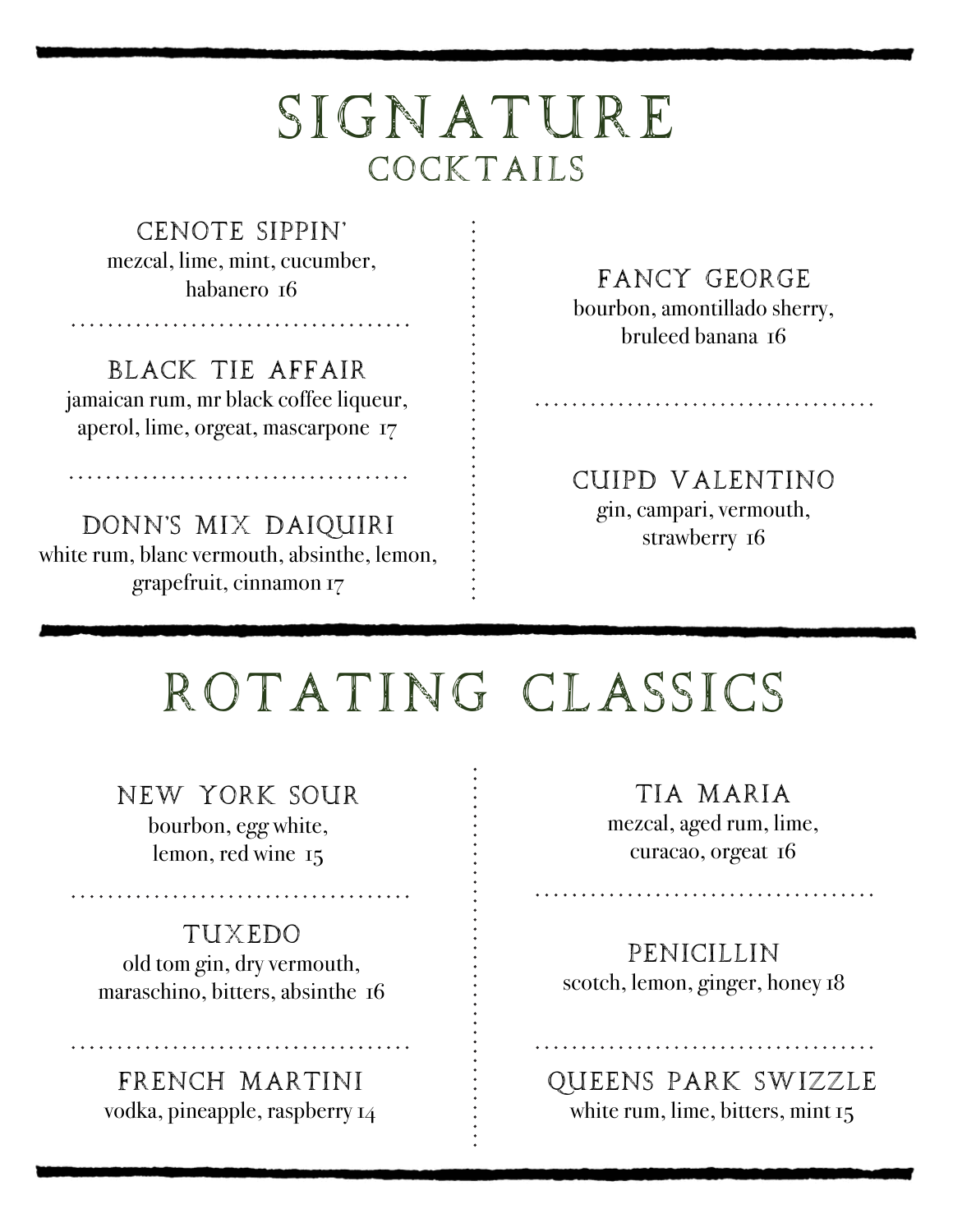### SIGNATURE COCKTAILS

CENOTE SIPPIN' mezcal, lime, mint, cucumber, habanero 16

BLACK TIE AFFAIR jamaican rum, mr black coffee liqueur, aperol, lime, orgeat, mascarpone 17

DONN'S MIX DAIQUIRI white rum, blanc vermouth, absinthe, lemon, grapefruit, cinnamon 17

FANCY GEORGE

bourbon, amontillado sherry, bruleed banana 16

CUIPD VALENTINO gin, campari, vermouth, strawberry 16

# ROTATING CLASSICS

NEW YORK SOUR bourbon, egg white,

lemon, red wine 15

#### TUXEDO

old tom gin, dry vermouth, maraschino, bitters, absinthe 16

FRENCH MARTINI vodka, pineapple, raspberry 14

TIA MARIA mezcal, aged rum, lime, curacao, orgeat 16

PENICILLIN scotch, lemon, ginger, honey 18

QUEENS PARK SWIZZLE white rum, lime, bitters, mint 15